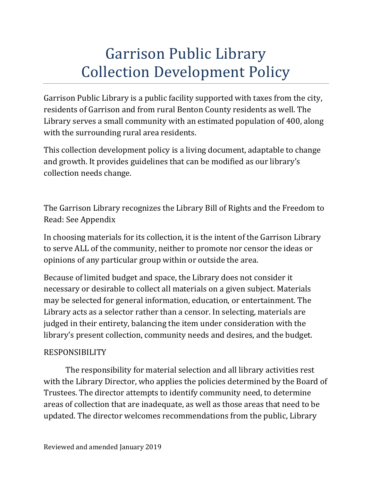# Garrison Public Library Collection Development Policy

Garrison Public Library is a public facility supported with taxes from the city, residents of Garrison and from rural Benton County residents as well. The Library serves a small community with an estimated population of 400, along with the surrounding rural area residents.

This collection development policy is a living document, adaptable to change and growth. It provides guidelines that can be modified as our library's collection needs change.

The Garrison Library recognizes the Library Bill of Rights and the Freedom to Read: See Appendix

In choosing materials for its collection, it is the intent of the Garrison Library to serve ALL of the community, neither to promote nor censor the ideas or opinions of any particular group within or outside the area.

Because of limited budget and space, the Library does not consider it necessary or desirable to collect all materials on a given subject. Materials may be selected for general information, education, or entertainment. The Library acts as a selector rather than a censor. In selecting, materials are judged in their entirety, balancing the item under consideration with the library's present collection, community needs and desires, and the budget.

#### RESPONSIBILITY

The responsibility for material selection and all library activities rest with the Library Director, who applies the policies determined by the Board of Trustees. The director attempts to identify community need, to determine areas of collection that are inadequate, as well as those areas that need to be updated. The director welcomes recommendations from the public, Library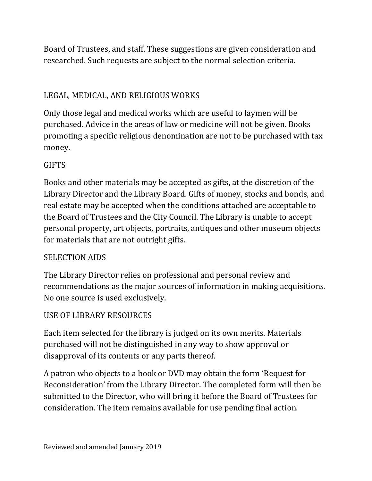Board of Trustees, and staff. These suggestions are given consideration and researched. Such requests are subject to the normal selection criteria.

# LEGAL, MEDICAL, AND RELIGIOUS WORKS

Only those legal and medical works which are useful to laymen will be purchased. Advice in the areas of law or medicine will not be given. Books promoting a specific religious denomination are not to be purchased with tax money.

#### **GIFTS**

Books and other materials may be accepted as gifts, at the discretion of the Library Director and the Library Board. Gifts of money, stocks and bonds, and real estate may be accepted when the conditions attached are acceptable to the Board of Trustees and the City Council. The Library is unable to accept personal property, art objects, portraits, antiques and other museum objects for materials that are not outright gifts.

#### SELECTION AIDS

The Library Director relies on professional and personal review and recommendations as the major sources of information in making acquisitions. No one source is used exclusively.

## USE OF LIBRARY RESOURCES

Each item selected for the library is judged on its own merits. Materials purchased will not be distinguished in any way to show approval or disapproval of its contents or any parts thereof.

A patron who objects to a book or DVD may obtain the form 'Request for Reconsideration' from the Library Director. The completed form will then be submitted to the Director, who will bring it before the Board of Trustees for consideration. The item remains available for use pending final action.